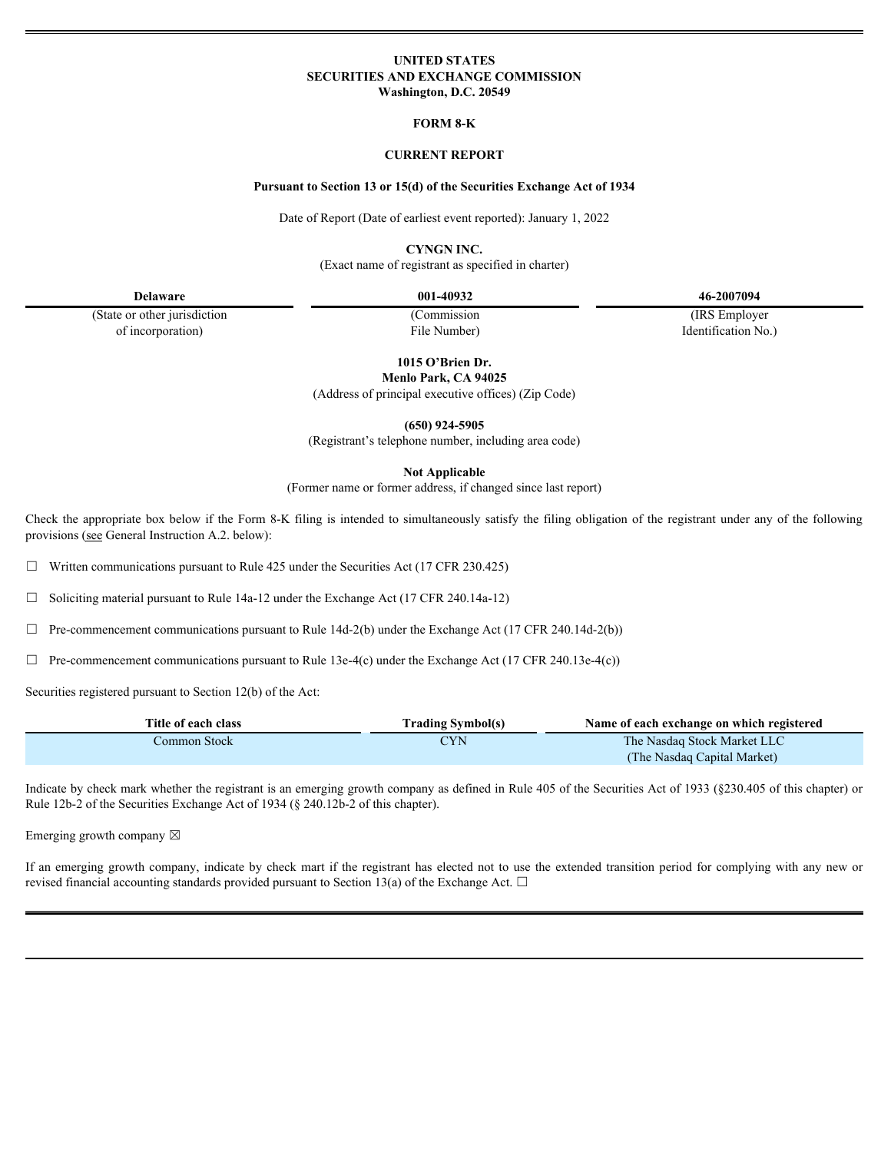## **UNITED STATES SECURITIES AND EXCHANGE COMMISSION Washington, D.C. 20549**

## **FORM 8-K**

## **CURRENT REPORT**

#### **Pursuant to Section 13 or 15(d) of the Securities Exchange Act of 1934**

Date of Report (Date of earliest event reported): January 1, 2022

**CYNGN INC.**

(Exact name of registrant as specified in charter)

(State or other jurisdiction (Commission (IRS Employer of incorporation) File Number) File Number and The Internation No.

**Delaware 001-40932 46-2007094**

**1015 O'Brien Dr.**

**Menlo Park, CA 94025**

|                                                                                                                                                                                                                                                                      | (Address of principal executive offices) (Zip Code)                                    |                                                            |
|----------------------------------------------------------------------------------------------------------------------------------------------------------------------------------------------------------------------------------------------------------------------|----------------------------------------------------------------------------------------|------------------------------------------------------------|
|                                                                                                                                                                                                                                                                      | $(650)$ 924-5905<br>(Registrant's telephone number, including area code)               |                                                            |
|                                                                                                                                                                                                                                                                      | <b>Not Applicable</b><br>(Former name or former address, if changed since last report) |                                                            |
| Check the appropriate box below if the Form 8-K filing is intended to simultaneously satisfy the filing obligation of the registrant under any of the following<br>provisions (see General Instruction A.2. below):                                                  |                                                                                        |                                                            |
| $\Box$ Written communications pursuant to Rule 425 under the Securities Act (17 CFR 230.425)                                                                                                                                                                         |                                                                                        |                                                            |
| $\Box$ Soliciting material pursuant to Rule 14a-12 under the Exchange Act (17 CFR 240.14a-12)                                                                                                                                                                        |                                                                                        |                                                            |
| $\Box$ Pre-commencement communications pursuant to Rule 14d-2(b) under the Exchange Act (17 CFR 240.14d-2(b))                                                                                                                                                        |                                                                                        |                                                            |
| $\Box$ Pre-commencement communications pursuant to Rule 13e-4(c) under the Exchange Act (17 CFR 240.13e-4(c))                                                                                                                                                        |                                                                                        |                                                            |
| Securities registered pursuant to Section 12(b) of the Act:                                                                                                                                                                                                          |                                                                                        |                                                            |
| Title of each class                                                                                                                                                                                                                                                  | <b>Trading Symbol(s)</b>                                                               | Name of each exchange on which registered                  |
| Common Stock                                                                                                                                                                                                                                                         | <b>CYN</b>                                                                             | The Nasdaq Stock Market LLC<br>(The Nasdaq Capital Market) |
| Indicate by check mark whether the registrant is an emerging growth company as defined in Rule 405 of the Securities Act of 1933 (§230.405 of this chapter) or<br>Rule 12b-2 of the Securities Exchange Act of 1934 (§ 240.12b-2 of this chapter).                   |                                                                                        |                                                            |
| Emerging growth company $\boxtimes$                                                                                                                                                                                                                                  |                                                                                        |                                                            |
| If an emerging growth company, indicate by check mart if the registrant has elected not to use the extended transition period for complying with any new or<br>revised financial accounting standards provided pursuant to Section 13(a) of the Exchange Act. $\Box$ |                                                                                        |                                                            |
|                                                                                                                                                                                                                                                                      |                                                                                        |                                                            |
|                                                                                                                                                                                                                                                                      |                                                                                        |                                                            |
|                                                                                                                                                                                                                                                                      |                                                                                        |                                                            |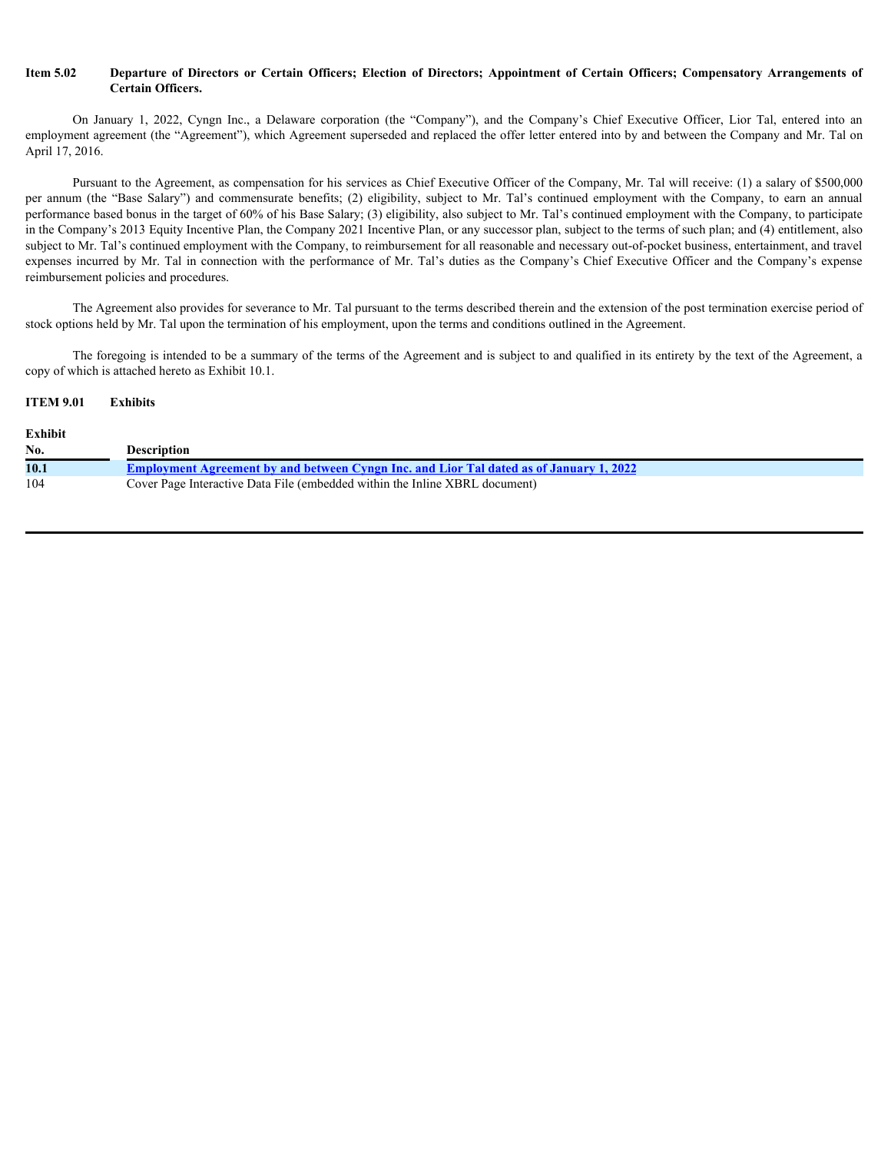# **Certain Officers.**

**Item 5.02 Departure of Directors or Certain Officers; Election of Directors; Appointment of Certain Officers; Compensatory Arrangements of Certain Officers.<br>
On January 1, 2022, Cyngn Inc., a Delaware corporation (the "** employment agreement (the "Agreement"), which Agreement superseded and replaced the offer letter entered into by and between the Company and Mr. Tal on April 17, 2016.

**Departure of Directors or Certain Officers; Election of Directors; Appointment of Certain Officers; Compensatory Arrangements of Certain Officers.<br>
On January 1, 2022, Cyngn Inc., a Delaware corporation (the "Company"), a** Pursuant to the Agreement, as compensation for his services as Chief Executive Officer of the Company, Mr. Tal will receive: (1) a salary of \$500,000 **Example 16.02 Departure of Directors or Certain Officers; Election of Directors; Appointment of Certain Officers; Compensatory Arrangements of Certain Officers.**<br>
On January 1, 2022, Cyngn Inc., a Delaware corporation ( performance based bonus in the target of 60% of his Base Salary; (3) eligibility, also subject to Mr. Tal's continued employment with the Company, to participate in the Company's 2013 Equity Incentive Plan, the Company 2021 Incentive Plan, or any successor plan, subject to the terms of such plan; and (4) entitlement, also subject to Mr. Tal's continued employment with the Company, to reimbursement for all reasonable and necessary out-of-pocket business, entertainment, and travel From 5.02 Departure of Directors or Certain Officers; Election of Directors; Appointment of Certain Officers; Compensatory Arrangements of<br>Certain Officers.<br>
Company 1. 2025, Cyagn Inc., a Delaware corporation (the "Compan reimbursement policies and procedures.

The Agreement also provides for severance to Mr. Tal pursuant to the terms described therein and the extension of the post termination exercise period of stock options held by Mr. Tal upon the termination of his employment, upon the terms and conditions outlined in the Agreement.

The foregoing is intended to be a summary of the terms of the Agreement and is subject to and qualified in its entirety by the text of the Agreement, a copy of which is attached hereto as Exhibit 10.1.

# **ITEM 9.01 Exhibits**

| <b>Exhibit</b> |                                                                                                |
|----------------|------------------------------------------------------------------------------------------------|
| No.            | <b>Description</b>                                                                             |
| 10.1           | <b>Employment Agreement by and between Cyngn Inc. and Lior Tal dated as of January 1, 2022</b> |
| 104            | Cover Page Interactive Data File (embedded within the Inline XBRL document)                    |
|                |                                                                                                |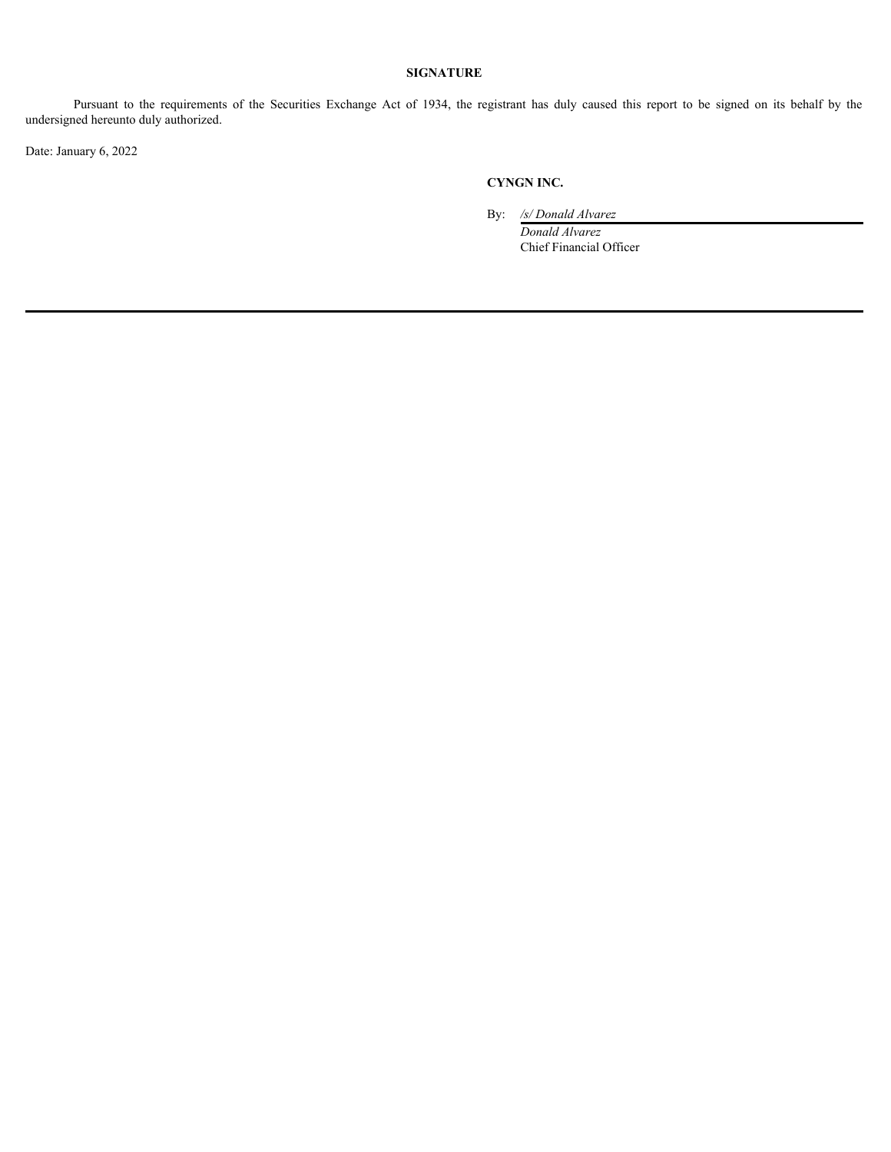# **SIGNATURE**

**Pursuant to the requirements of the Securities Exchange Act of 1934, the registrant has duly caused this report to be signed on its behalf by the ed hereunto duly authorized.<br>
Lary 6, 2022<br>
CYNGN INC.**<br>
By:  $\frac{6}{200}$  **E** undersigned hereunto duly authorized.

Date: January 6, 2022

# **CYNGN INC.**

By: */s/ Donald Alvarez*

*Donald Alvarez* Chief Financial Officer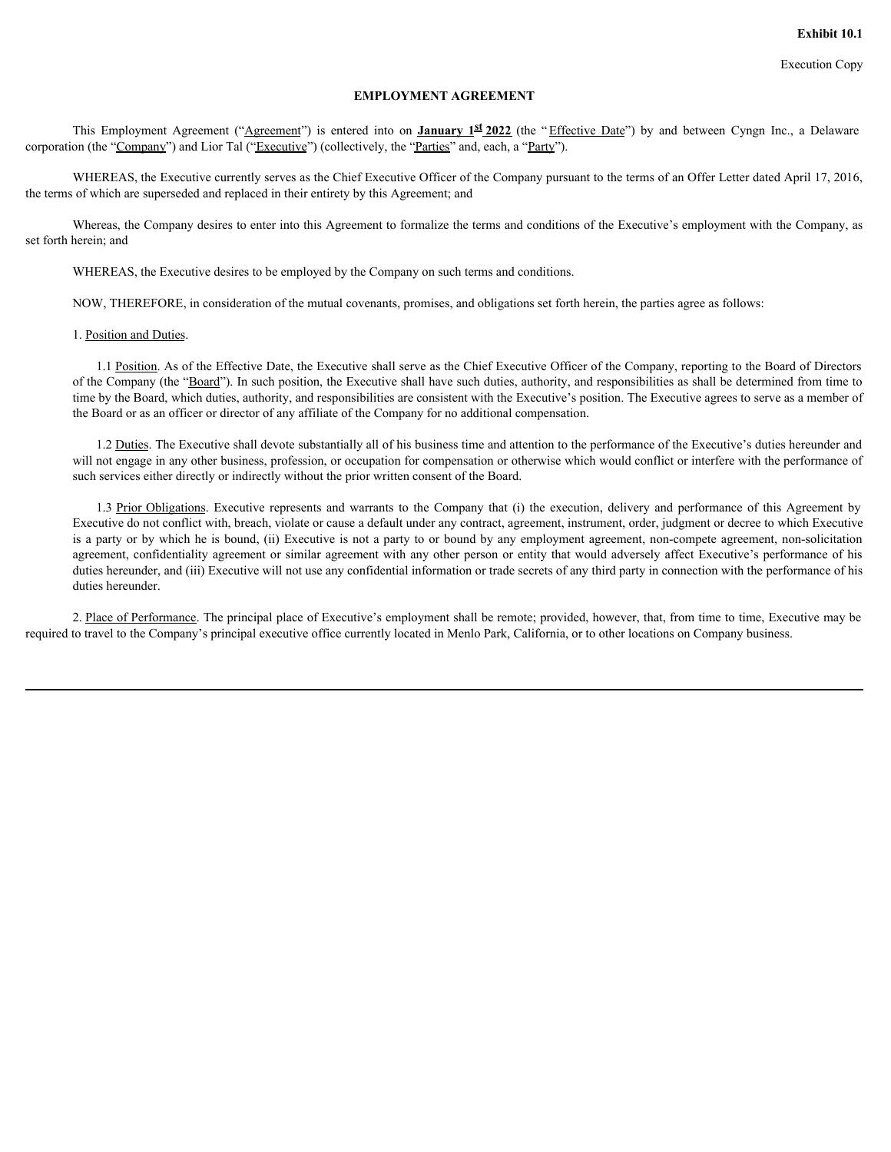# **EMPLOYMENT AGREEMENT**

**EMPLOYMENT AGREEMENT**<br>This Employment Agreement ("Agreement") is entered into on **January 1<sup>st</sup> 2022** (the "Effective Date") by and between Cyngn Inc., a Delaware<br>on (the "<u>Company</u>") and Lior Tal ("<u>Executive</u>") (collect corporation (the "Company") and Lior Tal ("Executive") (collectively, the "Parties" and, each, a "Party").

WHEREAS, the Executive currently serves as the Chief Executive Officer of the Company pursuant to the terms of an Offer Letter dated April 17, 2016, the terms of which are superseded and replaced in their entirety by this Agreement; and

Whereas, the Company desires to enter into this Agreement to formalize the terms and conditions of the Executive's employment with the Company, as set forth herein; and

WHEREAS, the Executive desires to be employed by the Company on such terms and conditions.

NOW, THEREFORE, in consideration of the mutual covenants, promises, and obligations set forth herein, the parties agree as follows:

1. Position and Duties.

1.1 Position. As of the Effective Date, the Executive shall serve as the Chief Executive Officer of the Company, reporting to the Board of Directors of the Company (the "Board"). In such position, the Executive shall have such duties, authority, and responsibilities as shall be determined from time to time by the Board, which duties, authority, and responsibilities are consistent with the Executive's position. The Executive agrees to serve as a member of the Board or as an officer or director of any affiliate of the Company for no additional compensation.

1.2 Duties. The Executive shall devote substantially all of his business time and attention to the performance of the Executive's duties hereunder and will not engage in any other business, profession, or occupation for compensation or otherwise which would conflict or interfere with the performance of such services either directly or indirectly without the prior written consent of the Board.

<span id="page-3-0"></span>**EMPLOYMENT AGREEMENT**<br> **EXECUTIVE EXECUTIVE CONSULTS CONSULTS CONSULTS CONSULTS** THEORY<br> **EXECUTIVE CONSULTS CONSULTS** CONSULTS CONSULTS CONSULTS THEORY<br> **EXECUTIVE CONSULTS CONSULTS** CONSULTS ( $\mathbf{F}^T$ ) and  $\mathbf{F}^T$ Executive do not conflict with, breach, violate or cause a default under any contract, agreement, instrument, order, judgment or decree to which Executive is a party or by which he is bound, (ii) Executive is not a party to or bound by any employment agreement, non-compete agreement, non-solicitation agreement, confidentiality agreement or similar agreement with any other person or entity that would adversely affect Executive's performance of his duties hereunder, and (iii) Executive will not use any confidential information or trade secrets of any third party in connection with the performance of his duties hereunder.

2. Place of Performance. The principal place of Executive's employment shall be remote; provided, however, that, from time to time, Executive may be required to travel to the Company's principal executive office currently located in Menlo Park, California, or to other locations on Company business.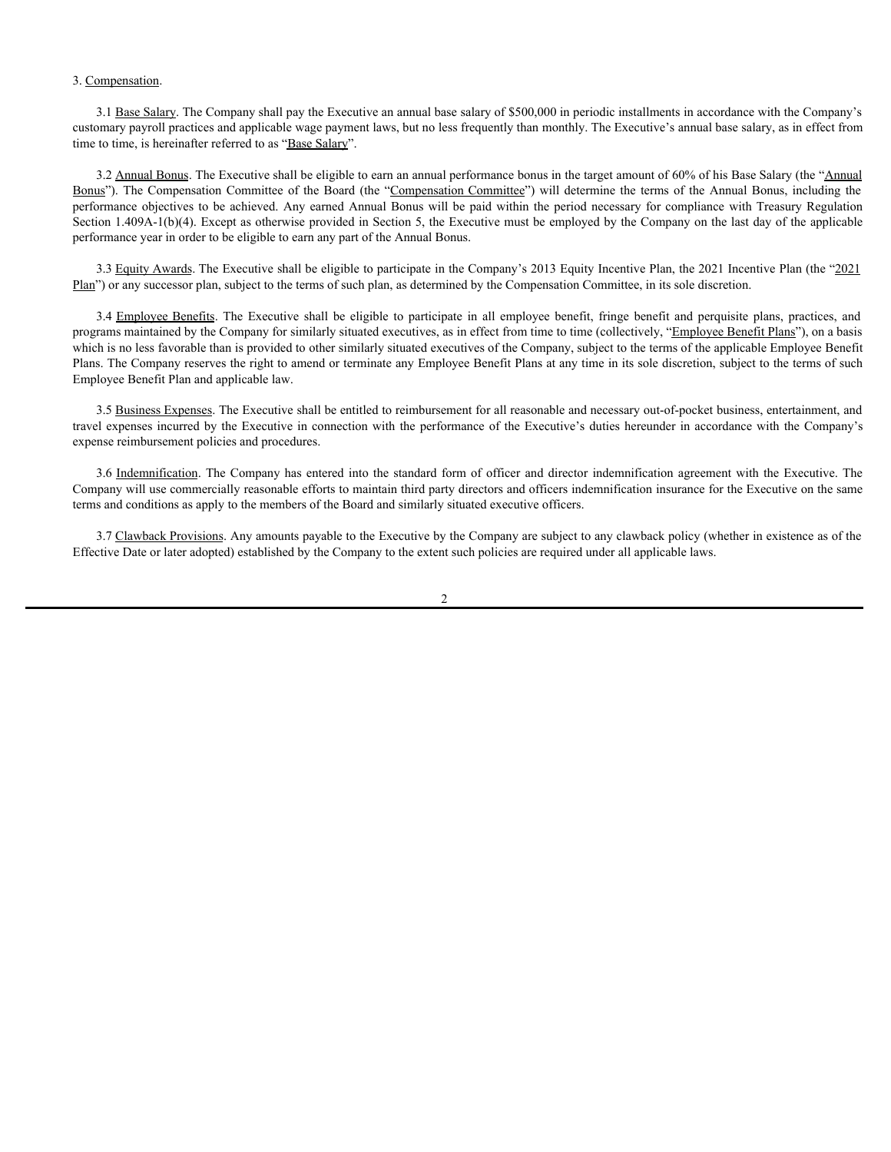## 3. Compensation.

3.1 Base Salary. The Company shall pay the Executive an annual base salary of \$500,000 in periodic installments in accordance with the Company's customary payroll practices and applicable wage payment laws, but no less frequently than monthly. The Executive's annual base salary, as in effect from time to time, is hereinafter referred to as "Base Salary".

3.2 Annual Bonus. The Executive shall be eligible to earn an annual performance bonus in the target amount of 60% of his Base Salary (the "Annual") 3. <u>Compensation</u>.<br>
3.1 <u>Base Salary</u>. The Company shall pay the Executive an annual base salary of \$500,000 in periodic installments in accordance with the Company's particulation required to the inclusionary particles a 3. Compensation.<br>
2.1 <u>Base Salary</u>. The Company shall pay the Executive an annual base salary of \$500,000 in periodic installments in accordance with the Company's<br>
2.1 Annual Bonus The Executive shall be eligible to ear Section 1.409A-1(b)(4). Except as otherwise provided in Section 5, the Executive must be employed by the Company on the last day of the applicable performance year in order to be eligible to earn any part of the Annual Bonus. **Examples 2.4** Executive shall play the Executive an annual base salary of \$500,000 in periodic installments in accordance with the Company's participate to as and applicable wage payment taws, but no less frequently than **3.1 Base. Salary.** The Company shall ary the Executive an annual base salary of \$500,000 in periodic instullations in accordance with the Company's to true 2010. It is the standard form of the standard form of the standar

3.3 Equity Awards. The Executive shall be eligible to participate in the Company's 2013 Equity Incentive Plan, the 2021 Incentive Plan (the "2021 Plan") or any successor plan, subject to the terms of such plan, as determined by the Compensation Committee, in its sole discretion.

programs maintained by the Company for similarly situated executives, as in effect from time to time (collectively, "Employee Benefit Plans"), on a basis which is no less favorable than is provided to other similarly situated executives of the Company, subject to the terms of the applicable Employee Benefit Plans. The Company reserves the right to amend or terminate any Employee Benefit Plans at any time in its sole discretion, subject to the terms of such Employee Benefit Plan and applicable law.

3.5 Business Expenses. The Executive shall be entitled to reimbursement for all reasonable and necessary out-of-pocket business, entertainment, and travel expenses incurred by the Executive in connection with the performance of the Executive's duties hereunder in accordance with the Company's expense reimbursement policies and procedures.

Company will use commercially reasonable efforts to maintain third party directors and officers indemnification insurance for the Executive on the same terms and conditions as apply to the members of the Board and similarly situated executive officers.

3.7 Clawback Provisions. Any amounts payable to the Executive by the Company are subject to any clawback policy (whether in existence as of the Effective Date or later adopted) established by the Company to the extent such policies are required under all applicable laws.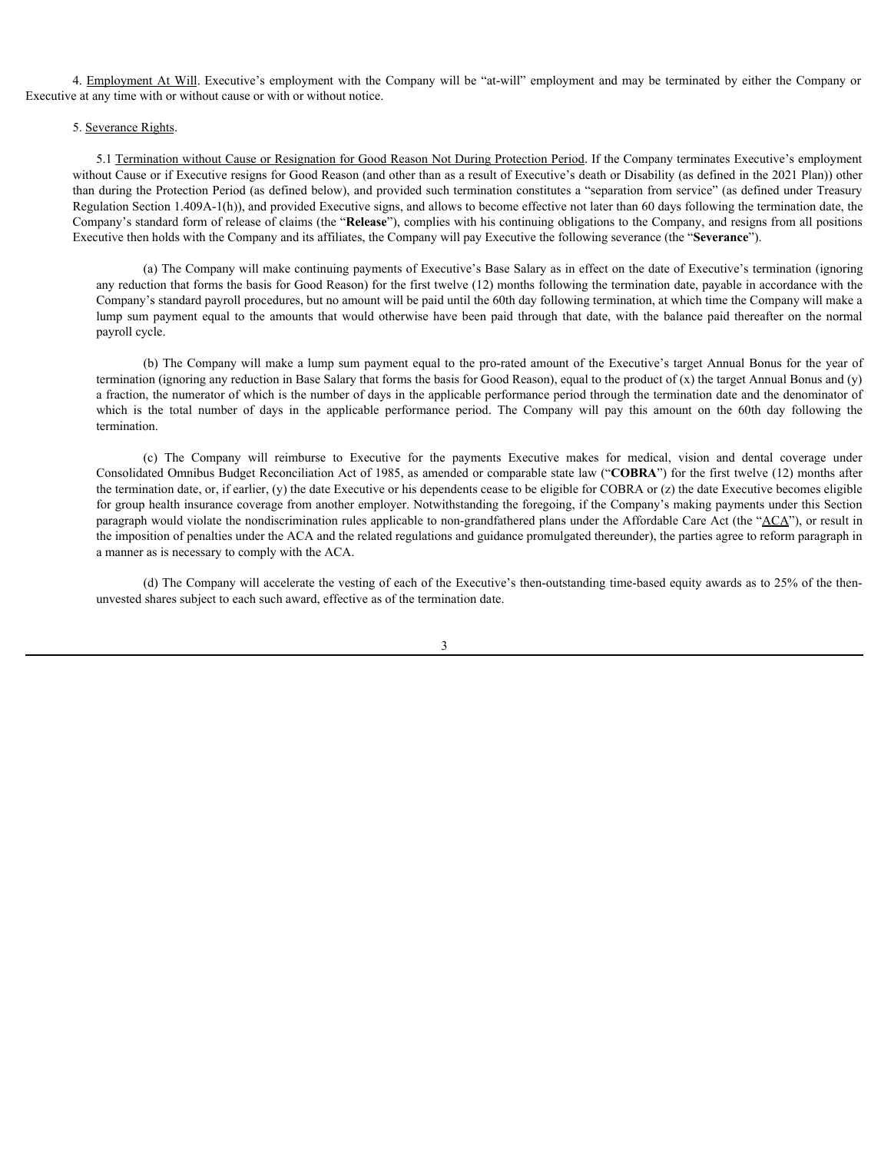4. Employment At Will. Executive's employment with the Company will be "at-will" employment and may be terminated by either the Company or Executive at any time with or without cause or with or without notice.

# 5. Severance Rights.

5.1 Termination without Cause or Resignation for Good Reason Not During Protection Period. If the Company terminates Executive's employment without Cause or if Executive resigns for Good Reason (and other than as a result of Executive's death or Disability (as defined in the 2021 Plan)) other than during the Protection Period (as defined below), and provided such termination constitutes a "separation from service" (as defined under Treasury Regulation Section 1.409A-1(h)), and provided Executive signs, and allows to become effective not later than 60 days following the termination date, the Company's standard form of release of claims (the "**Release**"), complies with his continuing obligations to the Company, and resigns from all positions Executive then holds with the Company and its affiliates, the Company will pay Executive the following severance (the "**Severance**"). mployment At Will Executive's employment with the Company will be "at-will" employment and may be terminated by either the Company or<br>extance Rights.<br>S.1 <u>Termination without Cause or Resignation for Good Reason Not During</u> mplayment At Will Executive's employment with the Company will be "at-will" employment and may be terminated by either the Company or<br>symmes. Rigamination and the company of the symmetric consideration for change for compa

(a) The Company will make continuing payments of Executive's Base Salary as in effect on the date of Executive's termination (ignoring any reduction that forms the basis for Good Reason) for the first twelve (12) months following the termination date, payable in accordance with the Company's standard payroll procedures, but no amount will be paid until the 60th day following termination, at which time the Company will make a payroll cycle.

(b) The Company will make a lump sum payment equal to the pro-rated amount of the Executive's target Annual Bonus for the year of termination (ignoring any reduction in Base Salary that forms the basis for Good Reason), equal to the product of  $(x)$  the target Annual Bonus and  $(y)$ a fraction, the numerator of which is the number of days in the applicable performance period through the termination date and the denominator of termination.

**nt At Will.** Executive's employment with the Company will be "ni-will" employment and may be terminated by either the Company or<br>with or without cause or with or without notice.<br>
Strains<br>
Strains<br>
Strains<br>
Strains<br>
Strai Consolidated Omnibus Budget Reconciliation Act of 1985, as amended or comparable state law ("**COBRA**") for the first twelve (12) months after the termination date, or, if earlier, (y) the date Executive or his dependents cease to be eligible for COBRA or (z) the date Executive becomes eligible for group health insurance coverage from another employer. Notwithstanding the foregoing, if the Company's making payments under this Section paragraph would violate the nondiscrimination rules applicable to non-grandfathered plans under the Affordable Care Act (the "ACA"), or result in the imposition of penalties under the ACA and the related regulations and guidance promulgated thereunder), the parties agree to reform paragraph in a manner as is necessary to comply with the ACA.

(d) The Company will accelerate the vesting of each of the Executive's then-outstanding time-based equity awards as to 25% of the thenunvested shares subject to each such award, effective as of the termination date.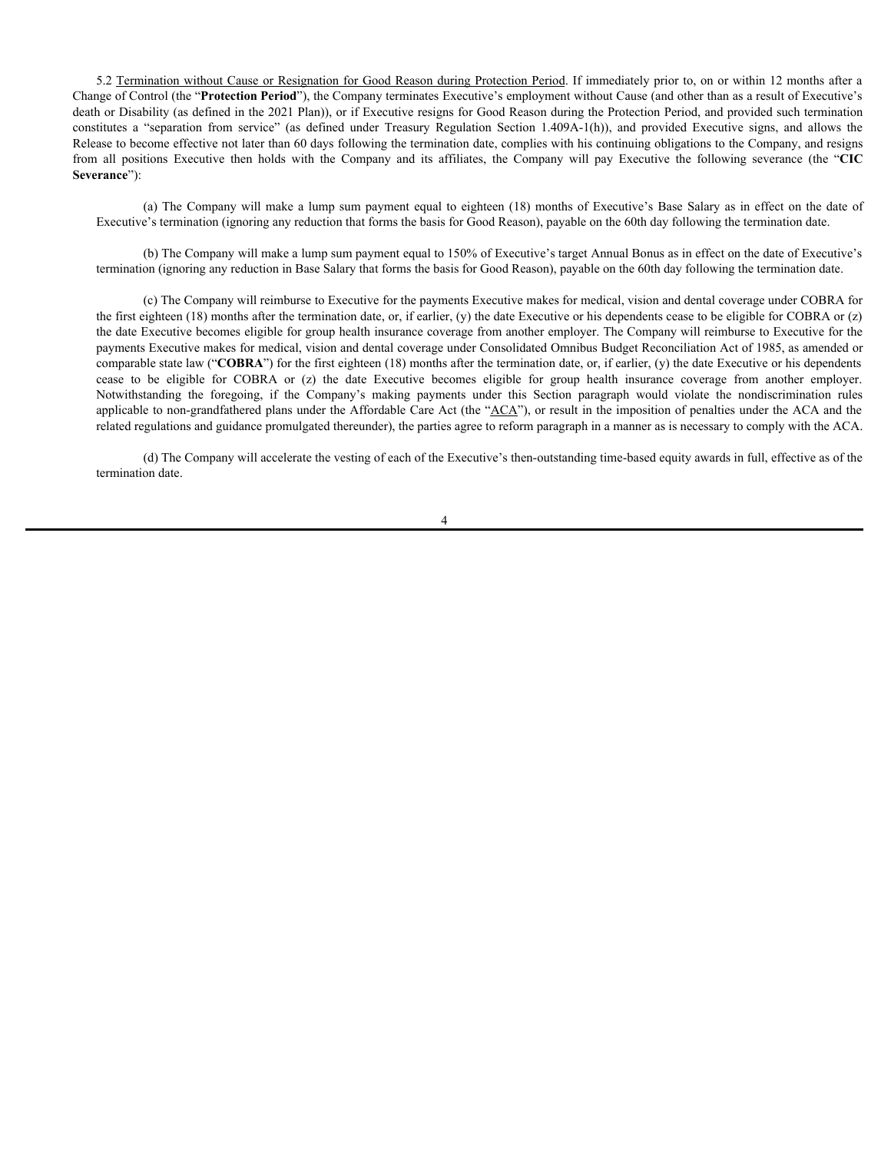5.2 Termination without Cause or Resignation for Good Reason during Protection Period. If immediately prior to, on or within 12 months after a Change of Control (the "**Protection Period**"), the Company terminates Executive's employment without Cause (and other than as a result of Executive's death or Disability (as defined in the 2021 Plan)), or if Executive resigns for Good Reason during the Protection Period, and provided such termination 5.2 Termination without Cause or Resignation for Good Reason during Protection Period. If immediately prior to, on or within 12 months after a<br>Change of Control (the "**Protection Period**"), the Company terminates Executive Release to become effective not later than 60 days following the termination date, complies with his continuing obligations to the Company, and resigns 5.2 <u>Termination without Cause or Resignation for Good Reason during Protection Period</u>. If immediately prior to, on or within 12 months after a<br>Change of Control (the "Protection Period"), the Company terminates Executive **Severance**"):

(a) The Company will make a lump sum payment equal to eighteen (18) months of Executive's Base Salary as in effect on the date of Executive's termination (ignoring any reduction that forms the basis for Good Reason), payable on the 60th day following the termination date.

(b) The Company will make a lump sum payment equal to 150% of Executive's target Annual Bonus as in effect on the date of Executive's termination (ignoring any reduction in Base Salary that forms the basis for Good Reason), payable on the 60th day following the termination date.

(c) The Company will reimburse to Executive for the payments Executive makes for medical, vision and dental coverage under COBRA for the first eighteen  $(18)$  months after the termination date, or, if earlier,  $(y)$  the date Executive or his dependents cease to be eligible for COBRA or  $(z)$ the date Executive becomes eligible for group health insurance coverage from another employer. The Company will reimburse to Executive for the payments Executive makes for medical, vision and dental coverage under Consolidated Omnibus Budget Reconciliation Act of 1985, as amended or comparable state law ("**COBRA**") for the first eighteen (18) months after the termination date, or, if earlier, (y) the date Executive or his dependents 52 Termination without Cause or Resignation for Good Reason during Puncetion Period. If immediately prior to, on or within 12 months after a geology of Courtot (the "Protection Period"), the Company is more interesting the 52 Termination without Cause or Resignation for Good Reason during Poucetion Period I l'immediately prior to, on or within 12 months after a good Countri (the "Protection Period") the Company leminates Excentive's omployme applicable to non-grandfathered plans under the Affordable Care Act (the "ACA"), or result in the imposition of penalties under the ACA and the related regulations and guidance promulgated thereunder), the parties agree to reform paragraph in a manner as is necessary to comply with the ACA.

(d) The Company will accelerate the vesting of each of the Executive's then-outstanding time-based equity awards in full, effective as of the termination date.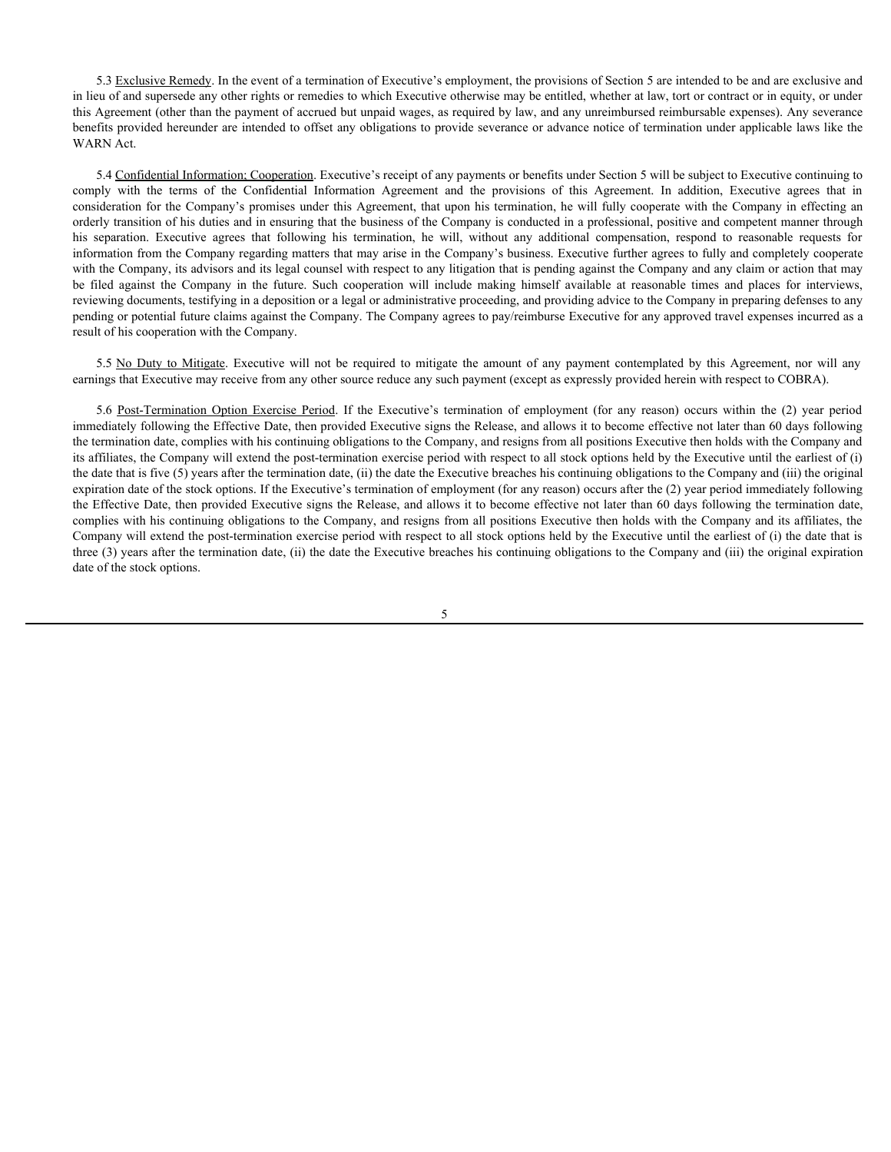5.3 Exclusive Remedy. In the event of a termination of Executive's employment, the provisions of Section 5 are intended to be and are exclusive and in lieu of and supersede any other rights or remedies to which Executive otherwise may be entitled, whether at law, tort or contract or in equity, or under this Agreement (other than the payment of accrued but unpaid wages, as required by law, and any unreimbursed reimbursable expenses). Any severance benefits provided hereunder are intended to offset any obligations to provide severance or advance notice of termination under applicable laws like the WARN Act.

5.4 Confidential Information; Cooperation. Executive's receipt of any payments or benefits under Section 5 will be subject to Executive continuing to 5.3 <u>Exclusive Remedy</u>. In the event of a termination of Executive's employment, the provisions of Section 5 are intended to be and are exclusive and<br>in lieu of and supersede any other rights or remedies to which Executiv consideration for the Company's promises under this Agreement, that upon his termination, he will fully cooperate with the Company in effecting an orderly transition of his duties and in ensuring that the business of the Company is conducted in a professional, positive and competent manner through 5.3 Exclusive Remedy. In the event of a termination of Executive's employment, the provisions of Section 5 are intended to be and are exclusive and in lieu of and supersede any other rights or remedies to which Executive o information from the Company regarding matters that may arise in the Company's business. Executive further agrees to fully and completely cooperate with the Company, its advisors and its legal counsel with respect to any litigation that is pending against the Company and any claim or action that may 5.3 <u>Exclusive Remedy</u>. In the event of a termination of Executive's employment, the provisions of Section 5 are intended to be and are exclusive and<br>in ite of und supersede any other rights or remedies to which Executive reviewing documents, testifying in a deposition or a legal or administrative proceeding, and providing advice to the Company in preparing defenses to any pending or potential future claims against the Company. The Company agrees to pay/reimburse Executive for any approved travel expenses incurred as a result of his cooperation with the Company. 5.3 Exclusive Reatach. In the event of a termination of Executive's employment the provisions of Section 5 are interacted to be and are exclusive and a greenated to the mitigate of a method of the amount of any total conte 5.3 Excluence Remedy. In the event of a termination of Executive's employment, the provisions of Section 5 are interded to be und are exclusive and so of and anyons on or and anyons of gyerment (for the Taure of the Exerci

earnings that Executive may receive from any other source reduce any such payment (except as expressly provided herein with respect to COBRA).

immediately following the Effective Date, then provided Executive signs the Release, and allows it to become effective not later than 60 days following the termination date, complies with his continuing obligations to the Company, and resigns from all positions Executive then holds with the Company and its affiliates, the Company will extend the post-termination exercise period with respect to all stock options held by the Executive until the earliest of (i) the date that is five (5) years after the termination date, (ii) the date the Executive breaches his continuing obligations to the Company and (iii) the original expiration date of the stock options. If the Executive's termination of employment (for any reason) occurs after the (2) year period immediately following the Effective Date, then provided Executive signs the Release, and allows it to become effective not later than 60 days following the termination date, complies with his continuing obligations to the Company, and resigns from all positions Executive then holds with the Company and its affiliates, the Company will extend the post-termination exercise period with respect to all stock options held by the Executive until the earliest of (i) the date that is three (3) years after the termination date, (ii) the date the Executive breaches his continuing obligations to the Company and (iii) the original expiration date of the stock options.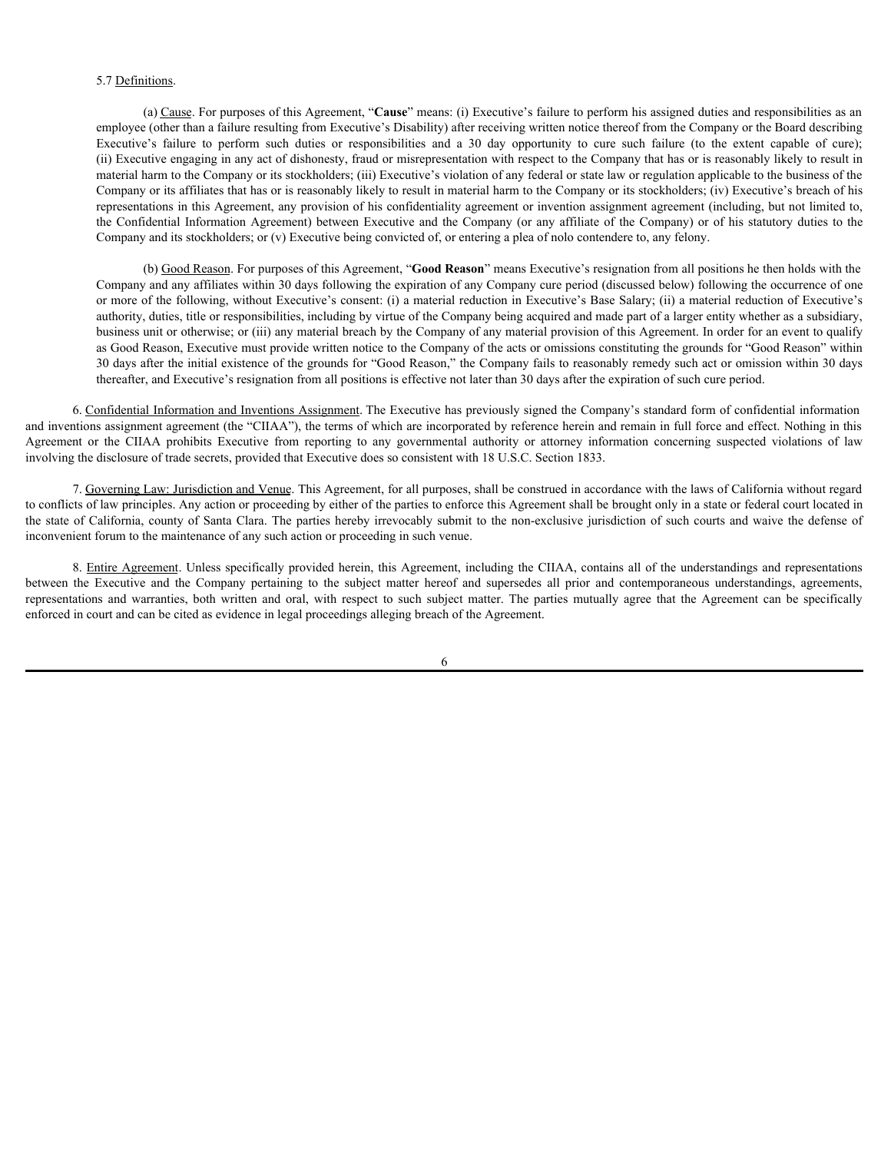# 5.7 Definitions.

(a) Cause. For purposes of this Agreement, "**Cause**" means: (i) Executive's failure to perform his assigned duties and responsibilities as an employee (other than a failure resulting from Executive's Disability) after receiving written notice thereof from the Company or the Board describing Executive's failure to perform such duties or responsibilities and a 30 5.7 <u>Definitions</u><br>(a) <u>Cause</u>. For purposes of this Agreement, "**Cause**" means: (i) Executive's failure to perform his assigned duties and responsibilities as an<br>employee (other than a failure resulting from Executive's D (ii) Executive engaging in any act of dishonesty, fraud or misrepresentation with respect to the Company that has or is reasonably likely to result in material harm to the Company or its stockholders; (iii) Executive's violation of any federal or state law or regulation applicable to the business of the Company or its affiliates that has or is reasonably likely to result in material harm to the Company or its stockholders; (iv) Executive's breach of his representations in this Agreement, any provision of his confidentiality agreement or invention assignment agreement (including, but not limited to, the Confidential Information Agreement) between Executive and the Company (or any affiliate of the Company) or of his statutory duties to the Company and its stockholders; or (v) Executive being convicted of, or entering a plea of nolo contendere to, any felony. 37 <u>Definitions</u><br>
(a) Control in the results (we can compute the CII control in the computer of the computer of the computer or the computer of the computer or the computer or the computer or the computer or the computer so (6) Executive Solution and the other wave the Company (1) Factority (1) Factority is the company in the subject during the subject of the the properties of the company of the Solution and the company of the Solution an represent of the Constantion of a functions and the section of the section of the Constantions and the oral oral, which and the oral of the Constantines of the Constantines of the Constantines of the Constantines of the Co

(b) Good Reason. For purposes of this Agreement, "**Good Reason**" means Executive's resignation from all positions he then holds with the Company and any affiliates within 30 days following the expiration of any Company cure period (discussed below) following the occurrence of one or more of the following, without Executive's consent: (i) a material reduction in Executive's Base Salary; (ii) a material reduction of Executive's authority, duties, title or responsibilities, including by virtue of the Company being acquired and made part of a larger entity whether as a subsidiary, business unit or otherwise; or (iii) any material breach by the Company of any material provision of this Agreement. In order for an event to qualify as Good Reason, Executive must provide written notice to the Company of the acts or omissions constituting the grounds for "Good Reason" within 30 days after the initial existence of the grounds for "Good Reason," the Company fails to reasonably remedy such act or omission within 30 days thereafter, and Executive's resignation from all positions is effective not later than 30 days after the expiration of such cure period.

6. Confidential Information and Inventions Assignment. The Executive has previously signed the Company's standard form of confidential information and inventions assignment agreement (the "CIIAA"), the terms of which are incorporated by reference herein and remain in full force and effect. Nothing in this involving the disclosure of trade secrets, provided that Executive does so consistent with 18 U.S.C. Section 1833.

7. Governing Law: Jurisdiction and Venue. This Agreement, for all purposes, shall be construed in accordance with the laws of California without regard to conflicts of law principles. Any action or proceeding by either of the parties to enforce this Agreement shall be brought only in a state or federal court located in the state of California, county of Santa Clara. The parties hereby irrevocably submit to the non-exclusive jurisdiction of such courts and waive the defense of inconvenient forum to the maintenance of any such action or proceeding in such venue.

8. Entire Agreement. Unless specifically provided herein, this Agreement, including the CIIAA, contains all of the understandings and representations enforced in court and can be cited as evidence in legal proceedings alleging breach of the Agreement.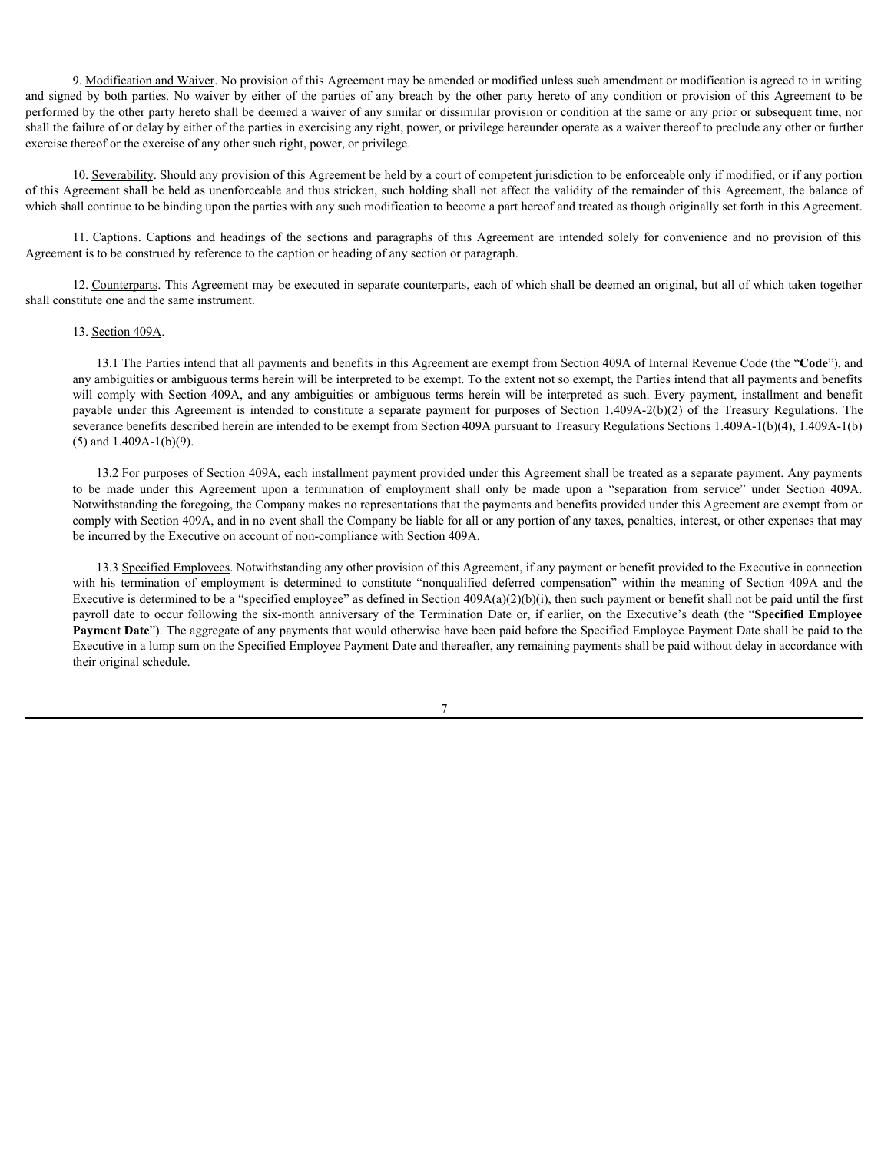9. Modification and Waiver. No provision of this Agreement may be amended or modified unless such amendment or modification is agreed to in writing 9. <u>Modification and Waiver</u>. No provision of this Agreement may be amended or modified unless such amendment or modification is agreed to in writing<br>and signed by both parties. No waiver by either of the parties of any br performed by the other party hereto shall be deemed a waiver of any similar or dissimilar provision or condition at the same or any prior or subsequent time, nor shall the failure of or delay by either of the parties in exercising any right, power, or privilege hereunder operate as a waiver thereof to preclude any other or further exercise thereof or the exercise of any other such right, power, or privilege. 9. Modification and Waiver. No provision of this Agreement may be amended or modified unless such amendment or modification is agreed to in writing of by the offer partic of the parties of any breach by the other party he

10. Severability. Should any provision of this Agreement be held by a court of competent jurisdiction to be enforceable only if modified, or if any portion of this Agreement shall be held as unenforceable and thus stricken, such holding shall not affect the validity of the remainder of this Agreement, the balance of which shall continue to be binding upon the parties with any such modification to become a part hereof and treated as though originally set forth in this Agreement.

Agreement is to be construed by reference to the caption or heading of any section or paragraph.

12. Counterparts. This Agreement may be executed in separate counterparts, each of which shall be deemed an original, but all of which taken together shall constitute one and the same instrument.

## 13. Section 409A.

13.1 The Parties intend that all payments and benefits in this Agreement are exempt from Section 409A of Internal Revenue Code (the "**Code**"), and any ambiguities or ambiguous terms herein will be interpreted to be exempt. To the extent not so exempt, the Parties intend that all payments and benefits **9** Medificulton and Waiver. No provision of this Agreement may be amended or medified unless such umendment or modification is agreed to in writing the by the the parties of any breacher party herein of all by the other 9. Modification and Wancer. No provision of this Agreement may be amended or modificat unless such amendment or modification is greed to in writing the byttes. No water by either of the pattes of any breads by the other p severance benefits described herein are intended to be exempt from Section 409A pursuant to Treasury Regulations Sections 1.409A-1(b)(4), 1.409A-1(b) (5) and 1.409A-1(b)(9). **S** be the state of the state of the Agreement may be anneaded or medified ankeov as a memberant in medification is a state of the state of the state of the state of the state of the state of the state of the state of the

13.2 For purposes of Section 409A, each installment payment provided under this Agreement shall be treated as a separate payment. Any payments Notwithstanding the foregoing, the Company makes no representations that the payments and benefits provided under this Agreement are exempt from or comply with Section 409A, and in no event shall the Company be liable for all or any portion of any taxes, penalties, interest, or other expenses that may be incurred by the Executive on account of non-compliance with Section 409A.

13.3 Specified Employees. Notwithstanding any other provision of this Agreement, if any payment or benefit provided to the Executive in connection d by its offer party been shall be determined a with the formulator provision or condition at the annot or any prior shall be the constitute in the sumport of the between the formulator of the constitute of the constitute Executive is determined to be a "specified employee" as defined in Section  $409A(a)(2)(b)(i)$ , then such payment or benefit shall not be paid until the first does for the exercise of any other such right, power, or privilege.<br>
10. Sexentable Show Approximate of this Agreement be held by a control consense particles of the control of the six-month consenses and control of the co Payment Date"). The aggregate of any payments that would otherwise have been paid before the Specified Employee Payment Date shall be paid to the Executive in a lump sum on the Specified Employee Payment Date and thereafter, any remaining payments shall be paid without delay in accordance with their original schedule.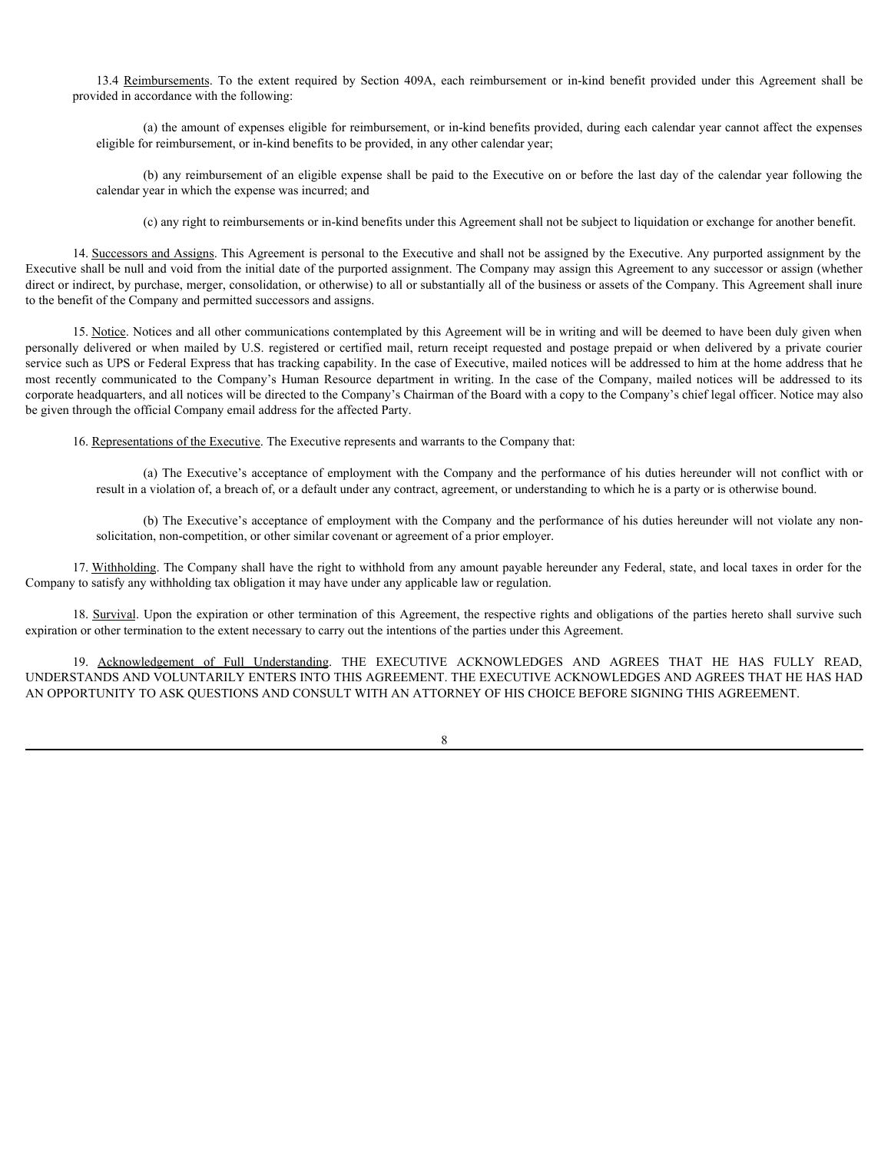provided in accordance with the following:

(a) the amount of expenses eligible for reimbursement, or in-kind benefits provided, during each calendar year cannot affect the expenses eligible for reimbursement, or in-kind benefits to be provided, in any other calendar year;

13.4 <u>Reimbursements</u>. To the extent required by Section 409A, each reimbursement or in-kind benefit provided under this Agreement shall be ided in accordance with the following:<br>
(a) the amount of expenses eligible for re (b) any reimbursement of an eligible expense shall be paid to the Executive on or before the last day of the calendar year following the calendar year in which the expense was incurred; and

(c) any right to reimbursements or in-kind benefits under this Agreement shall not be subject to liquidation or exchange for another benefit.

14. Successors and Assigns. This Agreement is personal to the Executive and shall not be assigned by the Executive. Any purported assignment by the Executive shall be null and void from the initial date of the purported assignment. The Company may assign this Agreement to any successor or assign (whether direct or indirect, by purchase, merger, consolidation, or otherwise) to all or substantially all of the business or assets of the Company. This Agreement shall inure to the benefit of the Company and permitted successors and assigns.

15. Notice. Notices and all other communications contemplated by this Agreement will be in writing and will be deemed to have been duly given when 13.4 <u>Rembunesment</u>s. To the extent required by Section 409A, each reimbursement or in-kind benefit provided interpretation such provided in accordance with the following:<br>
(a) the manunt of expenses eligible for reimburs service such as UPS or Federal Express that has tracking capability. In the case of Executive, mailed notices will be addressed to him at the home address that he 13.4 Remaharaments. To the extent required by Section 409A, each reinstboursement or in-kind benefits provided under this Apreement shall be provided in accordance with the following:<br>
(c) the amount of expresses eligible corporate headquarters, and all notices will be directed to the Company's Chairman of the Board with a copy to the Company's chief legal officer. Notice may also be given through the official Company email address for the affected Party. colendar year in which the expense was incurred ind<br>
14. Sangesamural Achieves (or treinbustreneum of the bits black benefit under this Agreement shall be the standard to the Soundary by the Sanctive Ary particlea soupmen

16. Representations of the Executive. The Executive represents and warrants to the Company that:

(a) The Executive's acceptance of employment with the Company and the performance of his duties hereunder will not conflict with or result in a violation of, a breach of, or a default under any contract, agreement, or understanding to which he is a party or is otherwise bound.

(b) The Executive's acceptance of employment with the Company and the performance of his duties hereunder will not violate any nonsolicitation, non-competition, or other similar covenant or agreement of a prior employer.

17. Withholding. The Company shall have the right to withhold from any amount payable hereunder any Federal, state, and local taxes in order for the Company to satisfy any withholding tax obligation it may have under any applicable law or regulation.

18. Survival. Upon the expiration or other termination of this Agreement, the respective rights and obligations of the parties hereto shall survive such expiration or other termination to the extent necessary to carry out the intentions of the parties under this Agreement.

UNDERSTANDS AND VOLUNTARILY ENTERS INTO THIS AGREEMENT. THE EXECUTIVE ACKNOWLEDGES AND AGREES THAT HE HAS HAD AN OPPORTUNITY TO ASK QUESTIONS AND CONSULT WITH AN ATTORNEY OF HIS CHOICE BEFORE SIGNING THIS AGREEMENT.